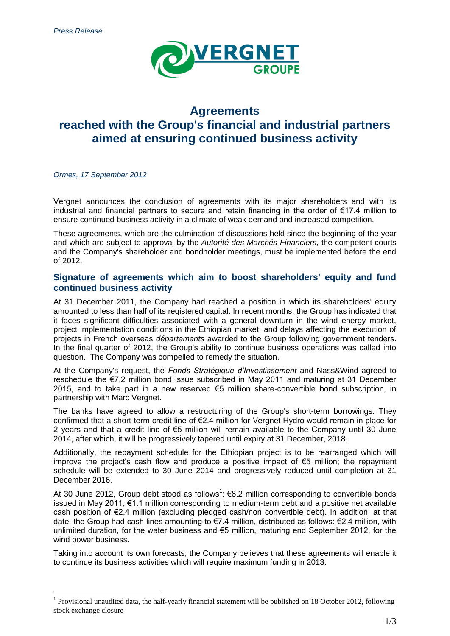

# **Agreements reached with the Group's financial and industrial partners aimed at ensuring continued business activity**

*Ormes, 17 September 2012*

1

Vergnet announces the conclusion of agreements with its major shareholders and with its industrial and financial partners to secure and retain financing in the order of €17.4 million to ensure continued business activity in a climate of weak demand and increased competition.

These agreements, which are the culmination of discussions held since the beginning of the year and which are subject to approval by the *Autorité des Marchés Financiers*, the competent courts and the Company's shareholder and bondholder meetings, must be implemented before the end of 2012.

## **Signature of agreements which aim to boost shareholders' equity and fund continued business activity**

At 31 December 2011, the Company had reached a position in which its shareholders' equity amounted to less than half of its registered capital. In recent months, the Group has indicated that it faces significant difficulties associated with a general downturn in the wind energy market, project implementation conditions in the Ethiopian market, and delays affecting the execution of projects in French overseas *départements* awarded to the Group following government tenders. In the final quarter of 2012, the Group's ability to continue business operations was called into question. The Company was compelled to remedy the situation.

At the Company's request, the *Fonds Stratégique d'Investissement* and Nass&Wind agreed to reschedule the €7.2 million bond issue subscribed in May 2011 and maturing at 31 December 2015, and to take part in a new reserved €5 million share-convertible bond subscription, in partnership with Marc Vergnet.

The banks have agreed to allow a restructuring of the Group's short-term borrowings. They confirmed that a short-term credit line of €2.4 million for Vergnet Hydro would remain in place for 2 years and that a credit line of €5 million will remain available to the Company until 30 June 2014, after which, it will be progressively tapered until expiry at 31 December, 2018.

Additionally, the repayment schedule for the Ethiopian project is to be rearranged which will improve the project's cash flow and produce a positive impact of  $\epsilon$ 5 million; the repayment schedule will be extended to 30 June 2014 and progressively reduced until completion at 31 December 2016.

At 30 June 2012, Group debt stood as follows<sup>1</sup>:  $\epsilon$ 8.2 million corresponding to convertible bonds issued in May 2011, €1.1 million corresponding to medium-term debt and a positive net available cash position of €2.4 million (excluding pledged cash/non convertible debt). In addition, at that date, the Group had cash lines amounting to €7.4 million, distributed as follows: €2.4 million, with unlimited duration, for the water business and €5 million, maturing end September 2012, for the wind power business.

Taking into account its own forecasts, the Company believes that these agreements will enable it to continue its business activities which will require maximum funding in 2013.

<sup>&</sup>lt;sup>1</sup> Provisional unaudited data, the half-yearly financial statement will be published on 18 October 2012, following stock exchange closure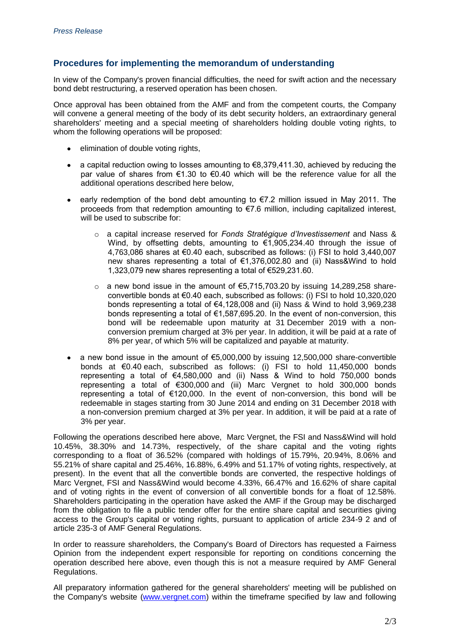# **Procedures for implementing the memorandum of understanding**

In view of the Company's proven financial difficulties, the need for swift action and the necessary bond debt restructuring, a reserved operation has been chosen.

Once approval has been obtained from the AMF and from the competent courts, the Company will convene a general meeting of the body of its debt security holders, an extraordinary general shareholders' meeting and a special meeting of shareholders holding double voting rights, to whom the following operations will be proposed:

- elimination of double voting rights,
- a capital reduction owing to losses amounting to  $\epsilon$ 8,379,411.30, achieved by reducing the par value of shares from  $\epsilon$ 1.30 to  $\epsilon$ 0.40 which will be the reference value for all the additional operations described here below,
- early redemption of the bond debt amounting to €7.2 million issued in May 2011. The  $\bullet$ proceeds from that redemption amounting to €7.6 million, including capitalized interest, will be used to subscribe for:
	- o a capital increase reserved for *Fonds Stratégique d'Investissement* and Nass & Wind, by offsetting debts, amounting to €1,905,234.40 through the issue of 4,763,086 shares at €0.40 each, subscribed as follows: (i) FSI to hold 3,440,007 new shares representing a total of €1,376,002.80 and (ii) Nass&Wind to hold 1,323,079 new shares representing a total of €529,231.60.
	- $\circ$  a new bond issue in the amount of €5,715,703,20 by issuing 14,289,258 shareconvertible bonds at €0.40 each, subscribed as follows: (i) FSI to hold 10,320,020 bonds representing a total of €4,128,008 and (ii) Nass & Wind to hold 3,969,238 bonds representing a total of €1,587,695.20. In the event of non-conversion, this bond will be redeemable upon maturity at 31 December 2019 with a nonconversion premium charged at 3% per year. In addition, it will be paid at a rate of 8% per year, of which 5% will be capitalized and payable at maturity.
- a new bond issue in the amount of €5,000,000 by issuing 12,500,000 share-convertible bonds at €0.40 each, subscribed as follows: (i) FSI to hold 11,450,000 bonds representing a total of €4,580,000 and (ii) Nass & Wind to hold 750,000 bonds representing a total of €300,000 and (iii) Marc Vergnet to hold 300,000 bonds representing a total of €120,000. In the event of non-conversion, this bond will be redeemable in stages starting from 30 June 2014 and ending on 31 December 2018 with a non-conversion premium charged at 3% per year. In addition, it will be paid at a rate of 3% per year.

Following the operations described here above, Marc Vergnet, the FSI and Nass&Wind will hold 10.45%, 38.30% and 14.73%, respectively, of the share capital and the voting rights corresponding to a float of 36.52% (compared with holdings of 15.79%, 20.94%, 8.06% and 55.21% of share capital and 25.46%, 16.88%, 6.49% and 51.17% of voting rights, respectively, at present). In the event that all the convertible bonds are converted, the respective holdings of Marc Vergnet, FSI and Nass&Wind would become 4.33%, 66.47% and 16.62% of share capital and of voting rights in the event of conversion of all convertible bonds for a float of 12.58%. Shareholders participating in the operation have asked the AMF if the Group may be discharged from the obligation to file a public tender offer for the entire share capital and securities giving access to the Group's capital or voting rights, pursuant to application of article 234-9 2 and of article 235-3 of AMF General Regulations.

In order to reassure shareholders, the Company's Board of Directors has requested a Fairness Opinion from the independent expert responsible for reporting on conditions concerning the operation described here above, even though this is not a measure required by AMF General Regulations.

All preparatory information gathered for the general shareholders' meeting will be published on the Company's website [\(www.vergnet.com\)](http://www.vergnet.com/) within the timeframe specified by law and following